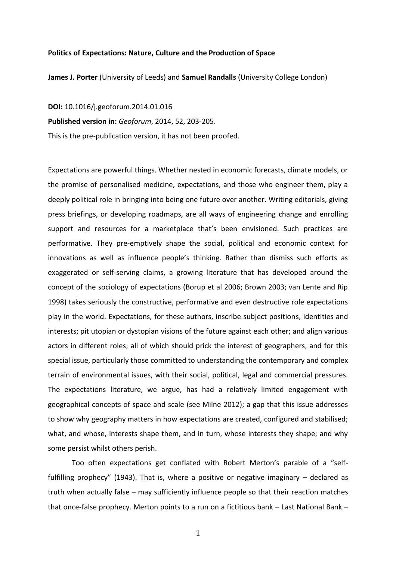## **Politics of Expectations: Nature, Culture and the Production of Space**

**James J. Porter** (University of Leeds) and **Samuel Randalls** (University College London)

**DOI:** 10.1016/j.geoforum.2014.01.016 **Published version in:** *Geoforum*, 2014, 52, 203-205. This is the pre-publication version, it has not been proofed.

Expectations are powerful things. Whether nested in economic forecasts, climate models, or the promise of personalised medicine, expectations, and those who engineer them, play a deeply political role in bringing into being one future over another. Writing editorials, giving press briefings, or developing roadmaps, are all ways of engineering change and enrolling support and resources for a marketplace that's been envisioned. Such practices are performative. They pre-emptively shape the social, political and economic context for innovations as well as influence people's thinking. Rather than dismiss such efforts as exaggerated or self-serving claims, a growing literature that has developed around the concept of the sociology of expectations (Borup et al 2006; Brown 2003; van Lente and Rip 1998) takes seriously the constructive, performative and even destructive role expectations play in the world. Expectations, for these authors, inscribe subject positions, identities and interests; pit utopian or dystopian visions of the future against each other; and align various actors in different roles; all of which should prick the interest of geographers, and for this special issue, particularly those committed to understanding the contemporary and complex terrain of environmental issues, with their social, political, legal and commercial pressures. The expectations literature, we argue, has had a relatively limited engagement with geographical concepts of space and scale (see Milne 2012); a gap that this issue addresses to show why geography matters in how expectations are created, configured and stabilised; what, and whose, interests shape them, and in turn, whose interests they shape; and why some persist whilst others perish.

Too often expectations get conflated with Robert Merton's parable of a "selffulfilling prophecy" (1943). That is, where a positive or negative imaginary – declared as truth when actually false – may sufficiently influence people so that their reaction matches that once-false prophecy. Merton points to a run on a fictitious bank – Last National Bank –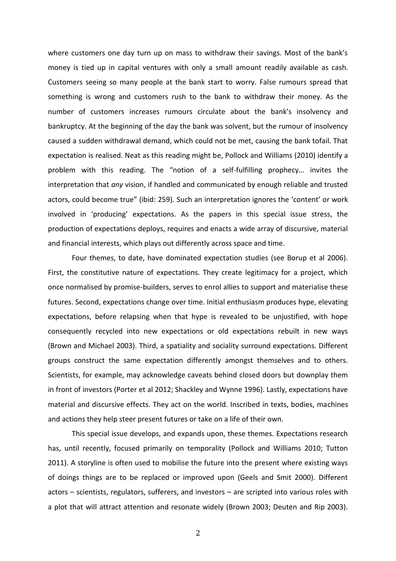where customers one day turn up on mass to withdraw their savings. Most of the bank's money is tied up in capital ventures with only a small amount readily available as cash. Customers seeing so many people at the bank start to worry. False rumours spread that something is wrong and customers rush to the bank to withdraw their money. As the number of customers increases rumours circulate about the bank's insolvency and bankruptcy. At the beginning of the day the bank was solvent, but the rumour of insolvency caused a sudden withdrawal demand, which could not be met, causing the bank tofail. That expectation is realised. Neat as this reading might be, Pollock and Williams (2010) identify a problem with this reading. The "notion of a self-fulfilling prophecy… invites the interpretation that *any* vision, if handled and communicated by enough reliable and trusted actors, could become true" (ibid: 259). Such an interpretation ignores the 'content' or work involved in 'producing' expectations. As the papers in this special issue stress, the production of expectations deploys, requires and enacts a wide array of discursive, material and financial interests, which plays out differently across space and time.

Four themes, to date, have dominated expectation studies (see Borup et al 2006). First, the constitutive nature of expectations. They create legitimacy for a project, which once normalised by promise-builders, serves to enrol allies to support and materialise these futures. Second, expectations change over time. Initial enthusiasm produces hype, elevating expectations, before relapsing when that hype is revealed to be unjustified, with hope consequently recycled into new expectations or old expectations rebuilt in new ways (Brown and Michael 2003). Third, a spatiality and sociality surround expectations. Different groups construct the same expectation differently amongst themselves and to others. Scientists, for example, may acknowledge caveats behind closed doors but downplay them in front of investors (Porter et al 2012; Shackley and Wynne 1996). Lastly, expectations have material and discursive effects. They act on the world. Inscribed in texts, bodies, machines and actions they help steer present futures or take on a life of their own.

This special issue develops, and expands upon, these themes. Expectations research has, until recently, focused primarily on temporality (Pollock and Williams 2010; Tutton 2011). A storyline is often used to mobilise the future into the present where existing ways of doings things are to be replaced or improved upon (Geels and Smit 2000). Different actors – scientists, regulators, sufferers, and investors – are scripted into various roles with a plot that will attract attention and resonate widely (Brown 2003; Deuten and Rip 2003).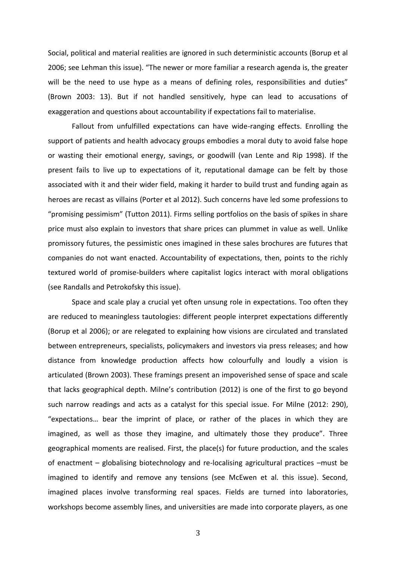Social, political and material realities are ignored in such deterministic accounts (Borup et al 2006; see Lehman this issue). "The newer or more familiar a research agenda is, the greater will be the need to use hype as a means of defining roles, responsibilities and duties" (Brown 2003: 13). But if not handled sensitively, hype can lead to accusations of exaggeration and questions about accountability if expectations fail to materialise.

Fallout from unfulfilled expectations can have wide-ranging effects. Enrolling the support of patients and health advocacy groups embodies a moral duty to avoid false hope or wasting their emotional energy, savings, or goodwill (van Lente and Rip 1998). If the present fails to live up to expectations of it, reputational damage can be felt by those associated with it and their wider field, making it harder to build trust and funding again as heroes are recast as villains (Porter et al 2012). Such concerns have led some professions to "promising pessimism" (Tutton 2011). Firms selling portfolios on the basis of spikes in share price must also explain to investors that share prices can plummet in value as well. Unlike promissory futures, the pessimistic ones imagined in these sales brochures are futures that companies do not want enacted. Accountability of expectations, then, points to the richly textured world of promise-builders where capitalist logics interact with moral obligations (see Randalls and Petrokofsky this issue).

Space and scale play a crucial yet often unsung role in expectations. Too often they are reduced to meaningless tautologies: different people interpret expectations differently (Borup et al 2006); or are relegated to explaining how visions are circulated and translated between entrepreneurs, specialists, policymakers and investors via press releases; and how distance from knowledge production affects how colourfully and loudly a vision is articulated (Brown 2003). These framings present an impoverished sense of space and scale that lacks geographical depth. Milne's contribution (2012) is one of the first to go beyond such narrow readings and acts as a catalyst for this special issue. For Milne (2012: 290), "expectations… bear the imprint of place, or rather of the places in which they are imagined, as well as those they imagine, and ultimately those they produce". Three geographical moments are realised. First, the place(s) for future production, and the scales of enactment – globalising biotechnology and re-localising agricultural practices –must be imagined to identify and remove any tensions (see McEwen et al. this issue). Second, imagined places involve transforming real spaces. Fields are turned into laboratories, workshops become assembly lines, and universities are made into corporate players, as one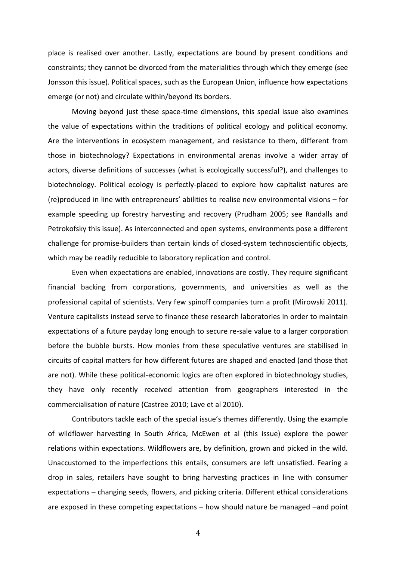place is realised over another. Lastly, expectations are bound by present conditions and constraints; they cannot be divorced from the materialities through which they emerge (see Jonsson this issue). Political spaces, such as the European Union, influence how expectations emerge (or not) and circulate within/beyond its borders.

Moving beyond just these space-time dimensions, this special issue also examines the value of expectations within the traditions of political ecology and political economy. Are the interventions in ecosystem management, and resistance to them, different from those in biotechnology? Expectations in environmental arenas involve a wider array of actors, diverse definitions of successes (what is ecologically successful?), and challenges to biotechnology. Political ecology is perfectly-placed to explore how capitalist natures are (re)produced in line with entrepreneurs' abilities to realise new environmental visions – for example speeding up forestry harvesting and recovery (Prudham 2005; see Randalls and Petrokofsky this issue). As interconnected and open systems, environments pose a different challenge for promise-builders than certain kinds of closed-system technoscientific objects, which may be readily reducible to laboratory replication and control.

Even when expectations are enabled, innovations are costly. They require significant financial backing from corporations, governments, and universities as well as the professional capital of scientists. Very few spinoff companies turn a profit (Mirowski 2011). Venture capitalists instead serve to finance these research laboratories in order to maintain expectations of a future payday long enough to secure re-sale value to a larger corporation before the bubble bursts. How monies from these speculative ventures are stabilised in circuits of capital matters for how different futures are shaped and enacted (and those that are not). While these political-economic logics are often explored in biotechnology studies, they have only recently received attention from geographers interested in the commercialisation of nature (Castree 2010; Lave et al 2010).

Contributors tackle each of the special issue's themes differently. Using the example of wildflower harvesting in South Africa, McEwen et al (this issue) explore the power relations within expectations. Wildflowers are, by definition, grown and picked in the wild. Unaccustomed to the imperfections this entails, consumers are left unsatisfied. Fearing a drop in sales, retailers have sought to bring harvesting practices in line with consumer expectations – changing seeds, flowers, and picking criteria. Different ethical considerations are exposed in these competing expectations – how should nature be managed –and point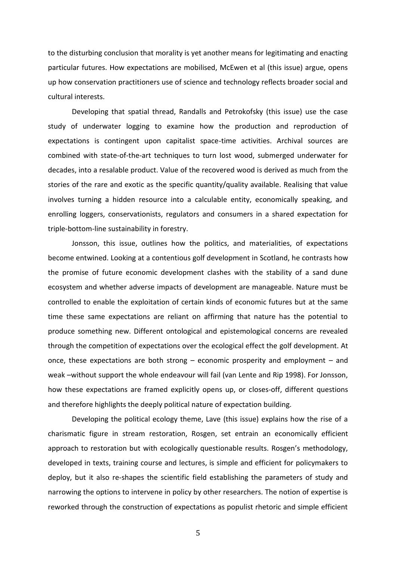to the disturbing conclusion that morality is yet another means for legitimating and enacting particular futures. How expectations are mobilised, McEwen et al (this issue) argue, opens up how conservation practitioners use of science and technology reflects broader social and cultural interests.

Developing that spatial thread, Randalls and Petrokofsky (this issue) use the case study of underwater logging to examine how the production and reproduction of expectations is contingent upon capitalist space-time activities. Archival sources are combined with state-of-the-art techniques to turn lost wood, submerged underwater for decades, into a resalable product. Value of the recovered wood is derived as much from the stories of the rare and exotic as the specific quantity/quality available. Realising that value involves turning a hidden resource into a calculable entity, economically speaking, and enrolling loggers, conservationists, regulators and consumers in a shared expectation for triple-bottom-line sustainability in forestry.

Jonsson, this issue, outlines how the politics, and materialities, of expectations become entwined. Looking at a contentious golf development in Scotland, he contrasts how the promise of future economic development clashes with the stability of a sand dune ecosystem and whether adverse impacts of development are manageable. Nature must be controlled to enable the exploitation of certain kinds of economic futures but at the same time these same expectations are reliant on affirming that nature has the potential to produce something new. Different ontological and epistemological concerns are revealed through the competition of expectations over the ecological effect the golf development. At once, these expectations are both strong – economic prosperity and employment – and weak –without support the whole endeavour will fail (van Lente and Rip 1998). For Jonsson, how these expectations are framed explicitly opens up, or closes-off, different questions and therefore highlights the deeply political nature of expectation building.

Developing the political ecology theme, Lave (this issue) explains how the rise of a charismatic figure in stream restoration, Rosgen, set entrain an economically efficient approach to restoration but with ecologically questionable results. Rosgen's methodology, developed in texts, training course and lectures, is simple and efficient for policymakers to deploy, but it also re-shapes the scientific field establishing the parameters of study and narrowing the options to intervene in policy by other researchers. The notion of expertise is reworked through the construction of expectations as populist rhetoric and simple efficient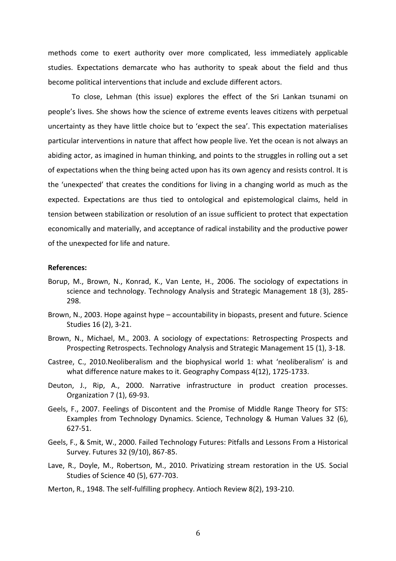methods come to exert authority over more complicated, less immediately applicable studies. Expectations demarcate who has authority to speak about the field and thus become political interventions that include and exclude different actors.

To close, Lehman (this issue) explores the effect of the Sri Lankan tsunami on people's lives. She shows how the science of extreme events leaves citizens with perpetual uncertainty as they have little choice but to 'expect the sea'. This expectation materialises particular interventions in nature that affect how people live. Yet the ocean is not always an abiding actor, as imagined in human thinking, and points to the struggles in rolling out a set of expectations when the thing being acted upon has its own agency and resists control. It is the 'unexpected' that creates the conditions for living in a changing world as much as the expected. Expectations are thus tied to ontological and epistemological claims, held in tension between stabilization or resolution of an issue sufficient to protect that expectation economically and materially, and acceptance of radical instability and the productive power of the unexpected for life and nature.

## **References:**

- Borup, M., Brown, N., Konrad, K., Van Lente, H., 2006. The sociology of expectations in science and technology. Technology Analysis and Strategic Management 18 (3), 285- 298.
- Brown, N., 2003. Hope against hype accountability in biopasts, present and future. Science Studies 16 (2), 3-21.
- Brown, N., Michael, M., 2003. A sociology of expectations: Retrospecting Prospects and Prospecting Retrospects. Technology Analysis and Strategic Management 15 (1), 3-18.
- Castree, C., 2010.Neoliberalism and the biophysical world 1: what 'neoliberalism' is and what difference nature makes to it. Geography Compass 4(12), 1725-1733.
- Deuton, J., Rip, A., 2000. Narrative infrastructure in product creation processes. Organization 7 (1), 69-93.
- Geels, F., 2007. Feelings of Discontent and the Promise of Middle Range Theory for STS: Examples from Technology Dynamics. Science, Technology & Human Values 32 (6), 627-51.
- Geels, F., & Smit, W., 2000. Failed Technology Futures: Pitfalls and Lessons From a Historical Survey. Futures 32 (9/10), 867-85.
- Lave, R., Doyle, M., Robertson, M., 2010. Privatizing stream restoration in the US. Social Studies of Science 40 (5), 677-703.
- Merton, R., 1948. The self-fulfilling prophecy. Antioch Review 8(2), 193-210.